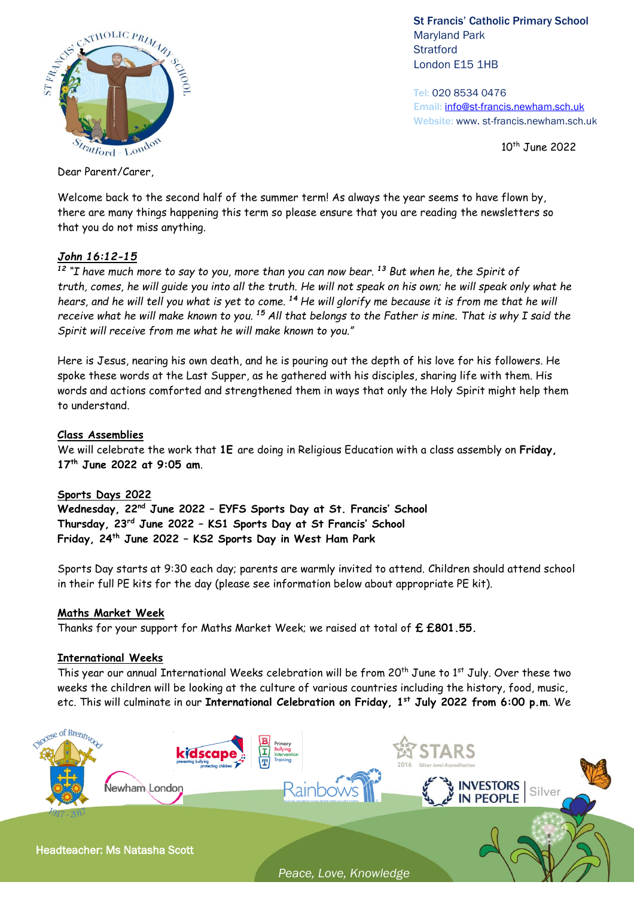

St Francis' Catholic Primary School Maryland Park **Stratford** London E15 1HB

Tel: 020 8534 0476 Email: [info@st-francis.newham.sch.uk](mailto:info@st-francis.newham.sch.uk) Website: www. st-francis.newham.sch.uk

10<sup>th</sup> June 2022

Dear Parent/Carer,

Welcome back to the second half of the summer term! As always the year seems to have flown by, there are many things happening this term so please ensure that you are reading the newsletters so that you do not miss anything.

# *John 16:12-15*

*<sup>12</sup> "I have much more to say to you, more than you can now bear. <sup>13</sup> But when he, the Spirit of truth, comes, he will guide you into all the truth. He will not speak on his own; he will speak only what he hears, and he will tell you what is yet to come. <sup>14</sup> He will glorify me because it is from me that he will receive what he will make known to you. <sup>15</sup> All that belongs to the Father is mine. That is why I said the Spirit will receive from me what he will make known to you."*

Here is Jesus, nearing his own death, and he is pouring out the depth of his love for his followers. He spoke these words at the Last Supper, as he gathered with his disciples, sharing life with them. His words and actions comforted and strengthened them in ways that only the Holy Spirit might help them to understand.

# **Class Assemblies**

We will celebrate the work that **1E** are doing in Religious Education with a class assembly on **Friday, 17th June 2022 at 9:05 am**.

#### **Sports Days 2022**

**Wednesday, 22nd June 2022 – EYFS Sports Day at St. Francis' School Thursday, 23rd June 2022 – KS1 Sports Day at St Francis' School Friday, 24th June 2022 – KS2 Sports Day in West Ham Park** 

Sports Day starts at 9:30 each day; parents are warmly invited to attend. Children should attend school in their full PE kits for the day (please see information below about appropriate PE kit).

#### **Maths Market Week**

Thanks for your support for Maths Market Week; we raised at total of **£ £801.55.** 

#### **International Weeks**

This year our annual International Weeks celebration will be from 20<sup>th</sup> June to 1st July. Over these two weeks the children will be looking at the culture of various countries including the history, food, music, etc. This will culminate in our **International Celebration on Friday, 1 st July 2022 from 6:00 p.m**. We



*Peace, Love, Knowledge*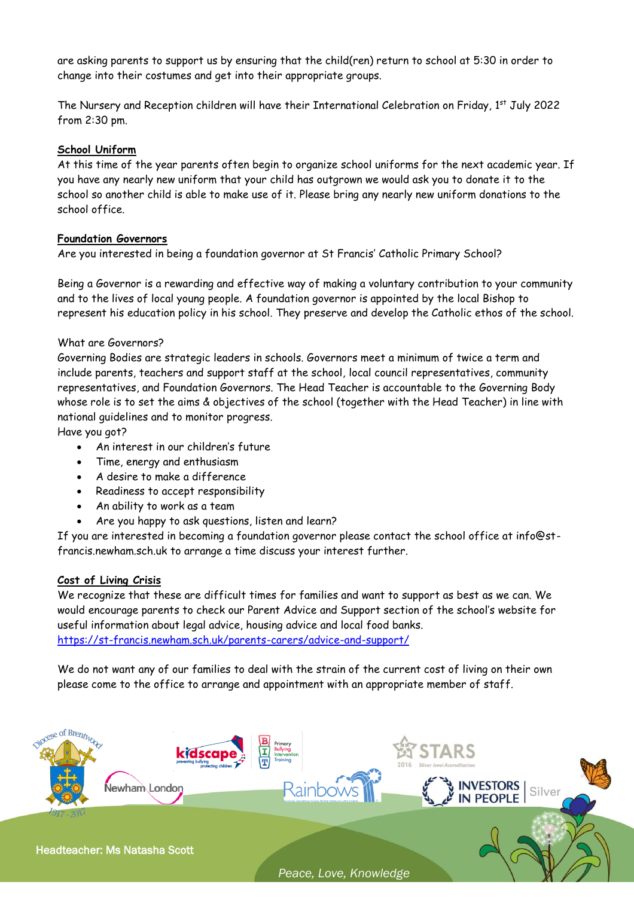are asking parents to support us by ensuring that the child(ren) return to school at 5:30 in order to change into their costumes and get into their appropriate groups.

The Nursery and Reception children will have their International Celebration on Friday, 1st July 2022 from 2:30 pm.

# **School Uniform**

At this time of the year parents often begin to organize school uniforms for the next academic year. If you have any nearly new uniform that your child has outgrown we would ask you to donate it to the school so another child is able to make use of it. Please bring any nearly new uniform donations to the school office.

# **Foundation Governors**

Are you interested in being a foundation governor at St Francis' Catholic Primary School?

Being a Governor is a rewarding and effective way of making a voluntary contribution to your community and to the lives of local young people. A foundation governor is appointed by the local Bishop to represent his education policy in his school. They preserve and develop the Catholic ethos of the school.

# What are Governors?

Governing Bodies are strategic leaders in schools. Governors meet a minimum of twice a term and include parents, teachers and support staff at the school, local council representatives, community representatives, and Foundation Governors. The Head Teacher is accountable to the Governing Body whose role is to set the aims & objectives of the school (together with the Head Teacher) in line with national guidelines and to monitor progress.

Have you got?

- An interest in our children's future
- Time, energy and enthusiasm
- A desire to make a difference
- Readiness to accept responsibility
- An ability to work as a team
- Are you happy to ask questions, listen and learn?

If you are interested in becoming a foundation governor please contact the school office at info@stfrancis.newham.sch.uk to arrange a time discuss your interest further.

#### **Cost of Living Crisis**

We recognize that these are difficult times for families and want to support as best as we can. We would encourage parents to check our Parent Advice and Support section of the school's website for useful information about legal advice, housing advice and local food banks. <https://st-francis.newham.sch.uk/parents-carers/advice-and-support/>

We do not want any of our families to deal with the strain of the current cost of living on their own please come to the office to arrange and appointment with an appropriate member of staff.



*Peace, Love, Knowledge*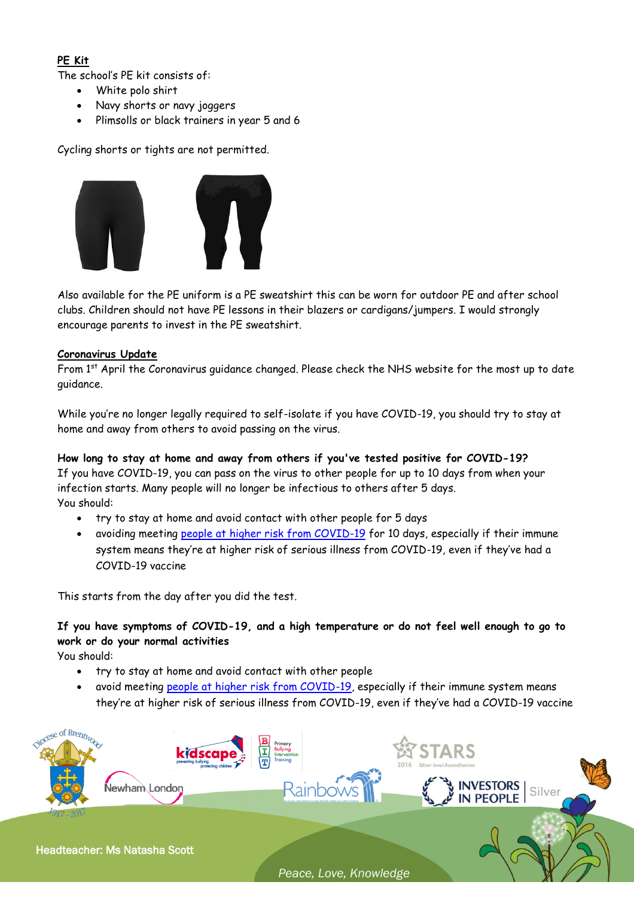# **PE Kit**

The school's PE kit consists of:

- White polo shirt
- Navy shorts or navy joggers
- Plimsolls or black trainers in year 5 and 6

Cycling shorts or tights are not permitted.



Also available for the PE uniform is a PE sweatshirt this can be worn for outdoor PE and after school clubs. Children should not have PE lessons in their blazers or cardigans/jumpers. I would strongly encourage parents to invest in the PE sweatshirt.

# **Coronavirus Update**

From 1st April the Coronavirus guidance changed. Please check the NHS website for the most up to date guidance.

While you're no longer legally required to self-isolate if you have COVID-19, you should try to stay at home and away from others to avoid passing on the virus.

**How long to stay at home and away from others if you've tested positive for COVID-19?**  If you have COVID-19, you can pass on the virus to other people for up to 10 days from when your infection starts. Many people will no longer be infectious to others after 5 days. You should:

- try to stay at home and avoid contact with other people for 5 days
- avoiding meeting [people at higher risk from COVID-19](https://www.nhs.uk/conditions/coronavirus-covid-19/people-at-higher-risk/who-is-at-high-risk-from-coronavirus/) for 10 days, especially if their immune system means they're at higher risk of serious illness from COVID-19, even if they've had a COVID-19 vaccine

This starts from the day after you did the test.

# **If you have symptoms of COVID-19, and a high temperature or do not feel well enough to go to work or do your normal activities**

You should:

- try to stay at home and avoid contact with other people
- avoid meeting [people at higher risk from COVID-19,](https://www.nhs.uk/conditions/coronavirus-covid-19/people-at-higher-risk/who-is-at-high-risk-from-coronavirus/) especially if their immune system means they're at higher risk of serious illness from COVID-19, even if they've had a COVID-19 vaccine



Headteacher: Ms Natasha Scott

*Peace, Love, Knowledge*